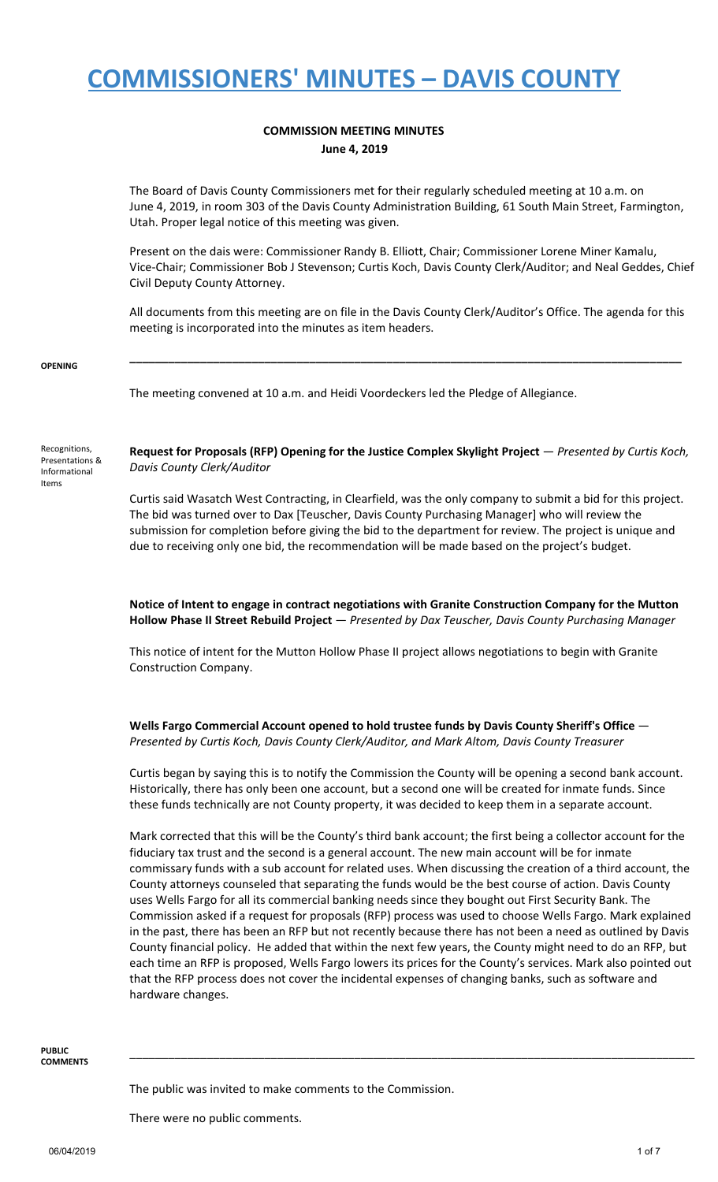#### **COMMISSION MEETING MINUTES June 4, 2019**

The Board of Davis County Commissioners met for their regularly scheduled meeting at 10 a.m. on June 4, 2019, in room 303 of the Davis County Administration Building, 61 South Main Street, Farmington, Utah. Proper legal notice of this meeting was given.

Present on the dais were: Commissioner Randy B. Elliott, Chair; Commissioner Lorene Miner Kamalu, Vice-Chair; Commissioner Bob J Stevenson; Curtis Koch, Davis County Clerk/Auditor; and Neal Geddes, Chief Civil Deputy County Attorney.

All documents from this meeting are on file in the Davis County Clerk/Auditor's Office. The agenda for this meeting is incorporated into the minutes as item headers.

**\_\_\_\_\_\_\_\_\_\_\_\_\_\_\_\_\_\_\_\_\_\_\_\_\_\_\_\_\_\_\_\_\_\_\_\_\_\_\_\_\_\_\_\_\_\_\_\_\_\_\_\_\_\_\_\_\_\_\_\_\_\_\_\_\_\_\_\_\_\_\_\_\_\_\_\_\_\_\_\_\_\_\_\_\_\_**

#### **OPENING**

The meeting convened at 10 a.m. and Heidi Voordeckers led the Pledge of Allegiance.

Recognitions, Presentations & Informational Items

**Request for Proposals (RFP) Opening for the Justice Complex Skylight Project** — *Presented by Curtis Koch, Davis County Clerk/Auditor*

Curtis said Wasatch West Contracting, in Clearfield, was the only company to submit a bid for this project. The bid was turned over to Dax [Teuscher, Davis County Purchasing Manager] who will review the submission for completion before giving the bid to the department for review. The project is unique and due to receiving only one bid, the recommendation will be made based on the project's budget.

**Notice of Intent to engage in contract negotiations with Granite Construction Company for the Mutton Hollow Phase II Street Rebuild Project** — *Presented by Dax Teuscher, Davis County Purchasing Manager*

This notice of intent for the Mutton Hollow Phase II project allows negotiations to begin with Granite Construction Company.

**Wells Fargo Commercial Account opened to hold trustee funds by Davis County Sheriff's Office** — *Presented by Curtis Koch, Davis County Clerk/Auditor, and Mark Altom, Davis County Treasurer*

Curtis began by saying this is to notify the Commission the County will be opening a second bank account. Historically, there has only been one account, but a second one will be created for inmate funds. Since these funds technically are not County property, it was decided to keep them in a separate account.

Mark corrected that this will be the County's third bank account; the first being a collector account for the fiduciary tax trust and the second is a general account. The new main account will be for inmate commissary funds with a sub account for related uses. When discussing the creation of a third account, the County attorneys counseled that separating the funds would be the best course of action. Davis County uses Wells Fargo for all its commercial banking needs since they bought out First Security Bank. The Commission asked if a request for proposals (RFP) process was used to choose Wells Fargo. Mark explained in the past, there has been an RFP but not recently because there has not been a need as outlined by Davis County financial policy. He added that within the next few years, the County might need to do an RFP, but each time an RFP is proposed, Wells Fargo lowers its prices for the County's services. Mark also pointed out that the RFP process does not cover the incidental expenses of changing banks, such as software and hardware changes.

\_\_\_\_\_\_\_\_\_\_\_\_\_\_\_\_\_\_\_\_\_\_\_\_\_\_\_\_\_\_\_\_\_\_\_\_\_\_\_\_\_\_\_\_\_\_\_\_\_\_\_\_\_\_\_\_\_\_\_\_\_\_\_\_\_\_\_\_\_\_\_\_\_\_\_\_\_\_\_\_\_\_\_\_\_\_\_\_

**PUBLIC COMMENTS**

The public was invited to make comments to the Commission.

There were no public comments.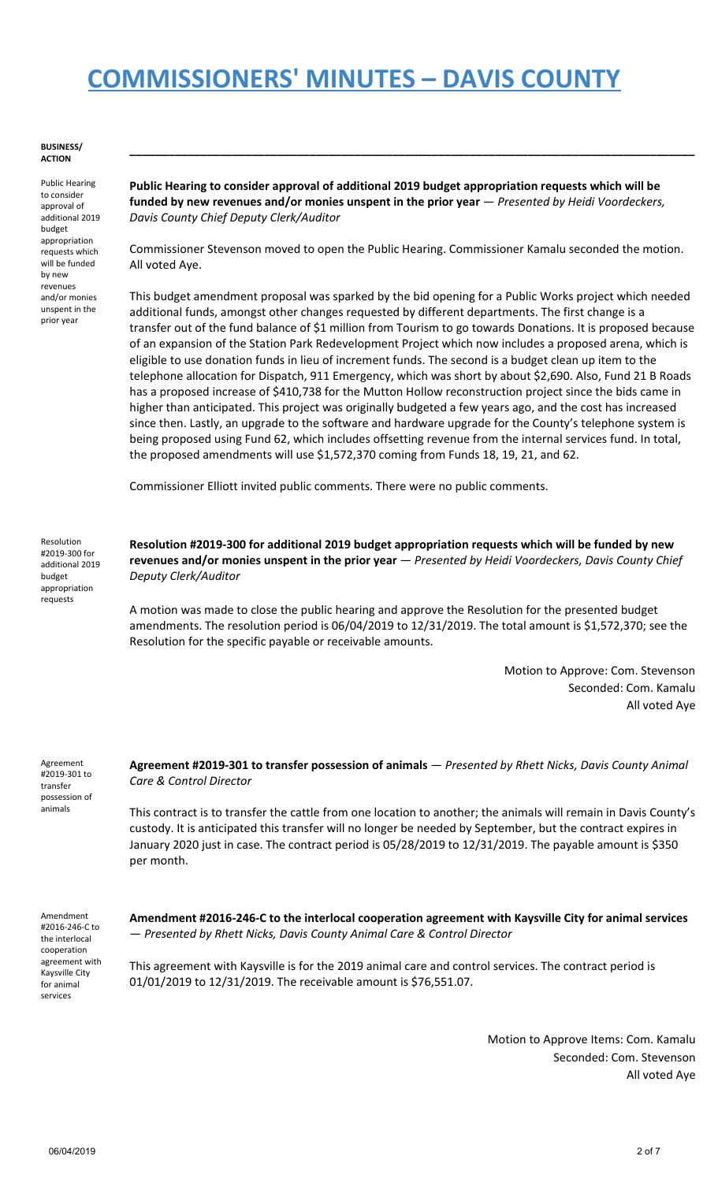#### **BUSINESS/ ACTION**

Public Hearing to consider approval of additional 2019 budget appropriation requests which will be funded by new revenues and/or monies unspent in the prior year

**Public Hearing to consider approval of additional 2019 budget appropriation requests which will be funded by new revenues and/or monies unspent in the prior year** — *Presented by Heidi Voordeckers, Davis County Chief Deputy Clerk/Auditor*

**\_\_\_\_\_\_\_\_\_\_\_\_\_\_\_\_\_\_\_\_\_\_\_\_\_\_\_\_\_\_\_\_\_\_\_\_\_\_\_\_\_\_\_\_\_\_\_\_\_\_\_\_\_\_\_\_\_\_\_\_\_\_\_\_\_\_\_\_\_\_\_\_\_\_\_\_\_\_\_\_\_\_\_\_\_\_\_\_**

Commissioner Stevenson moved to open the Public Hearing. Commissioner Kamalu seconded the motion. All voted Aye.

This budget amendment proposal was sparked by the bid opening for a Public Works project which needed additional funds, amongst other changes requested by different departments. The first change is a transfer out of the fund balance of \$1 million from Tourism to go towards Donations. It is proposed because of an expansion of the Station Park Redevelopment Project which now includes a proposed arena, which is eligible to use donation funds in lieu of increment funds. The second is a budget clean up item to the telephone allocation for Dispatch, 911 Emergency, which was short by about \$2,690. Also, Fund 21 B Roads has a proposed increase of \$410,738 for the Mutton Hollow reconstruction project since the bids came in higher than anticipated. This project was originally budgeted a few years ago, and the cost has increased since then. Lastly, an upgrade to the software and hardware upgrade for the County's telephone system is being proposed using Fund 62, which includes offsetting revenue from the internal services fund. In total, the proposed amendments will use \$1,572,370 coming from Funds 18, 19, 21, and 62.

Commissioner Elliott invited public comments. There were no public comments.

Resolution #2019-300 for additional 2019 budget appropriation requests

**Resolution #2019-300 for additional 2019 budget appropriation requests which will be funded by new revenues and/or monies unspent in the prior year** — *Presented by Heidi Voordeckers, Davis County Chief Deputy Clerk/Auditor*

A motion was made to close the public hearing and approve the Resolution for the presented budget amendments. The resolution period is 06/04/2019 to 12/31/2019. The total amount is \$1,572,370; see the Resolution for the specific payable or receivable amounts.

> Motion to Approve: Com. Stevenson Seconded: Com. Kamalu All voted Aye

Agreement #2019-301 to transfer possession of animals

**Agreement #2019-301 to transfer possession of animals** — *Presented by Rhett Nicks, Davis County Animal Care & Control Director*

This contract is to transfer the cattle from one location to another; the animals will remain in Davis County's custody. It is anticipated this transfer will no longer be needed by September, but the contract expires in January 2020 just in case. The contract period is 05/28/2019 to 12/31/2019. The payable amount is \$350 per month.

Amendment #2016-246-C to the interlocal cooperation agreement with Kaysville City for animal services

**Amendment #2016-246-C to the interlocal cooperation agreement with Kaysville City for animal services** — *Presented by Rhett Nicks, Davis County Animal Care & Control Director*

This agreement with Kaysville is for the 2019 animal care and control services. The contract period is 01/01/2019 to 12/31/2019. The receivable amount is \$76,551.07.

> Motion to Approve Items: Com. Kamalu Seconded: Com. Stevenson All voted Aye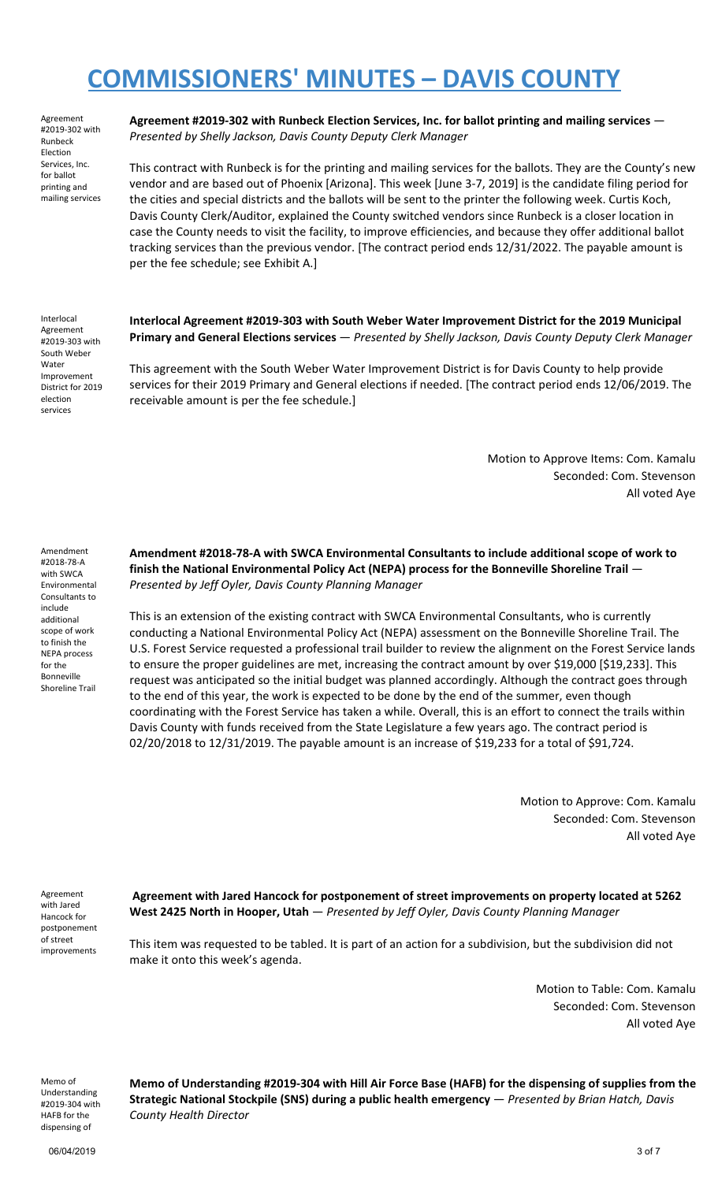Agreement #2019-302 with Runbeck Election Services, Inc. for ballot printing and mailing services

**Agreement #2019-302 with Runbeck Election Services, Inc. for ballot printing and mailing services** — *Presented by Shelly Jackson, Davis County Deputy Clerk Manager*

This contract with Runbeck is for the printing and mailing services for the ballots. They are the County's new vendor and are based out of Phoenix [Arizona]. This week [June 3-7, 2019] is the candidate filing period for the cities and special districts and the ballots will be sent to the printer the following week. Curtis Koch, Davis County Clerk/Auditor, explained the County switched vendors since Runbeck is a closer location in case the County needs to visit the facility, to improve efficiencies, and because they offer additional ballot tracking services than the previous vendor. [The contract period ends 12/31/2022. The payable amount is per the fee schedule; see Exhibit A.]

Interlocal Agreement #2019-303 with South Weber Water Improvement District for 2019 election services

**Interlocal Agreement #2019-303 with South Weber Water Improvement District for the 2019 Municipal Primary and General Elections services** — *Presented by Shelly Jackson, Davis County Deputy Clerk Manager*

This agreement with the South Weber Water Improvement District is for Davis County to help provide services for their 2019 Primary and General elections if needed. [The contract period ends 12/06/2019. The receivable amount is per the fee schedule.]

> Motion to Approve Items: Com. Kamalu Seconded: Com. Stevenson All voted Aye

Amendment #2018-78-A with SWCA Environmental Consultants to include additional scope of work to finish the NEPA process for the Bonneville Shoreline Trail

**Amendment #2018-78-A with SWCA Environmental Consultants to include additional scope of work to finish the National Environmental Policy Act (NEPA) process for the Bonneville Shoreline Trail** — *Presented by Jeff Oyler, Davis County Planning Manager*

This is an extension of the existing contract with SWCA Environmental Consultants, who is currently conducting a National Environmental Policy Act (NEPA) assessment on the Bonneville Shoreline Trail. The U.S. Forest Service requested a professional trail builder to review the alignment on the Forest Service lands to ensure the proper guidelines are met, increasing the contract amount by over \$19,000 [\$19,233]. This request was anticipated so the initial budget was planned accordingly. Although the contract goes through to the end of this year, the work is expected to be done by the end of the summer, even though coordinating with the Forest Service has taken a while. Overall, this is an effort to connect the trails within Davis County with funds received from the State Legislature a few years ago. The contract period is 02/20/2018 to 12/31/2019. The payable amount is an increase of \$19,233 for a total of \$91,724.

> Motion to Approve: Com. Kamalu Seconded: Com. Stevenson All voted Aye

Agreement with Jared Hancock for postponement of street improvements

**Agreement with Jared Hancock for postponement of street improvements on property located at 5262 West 2425 North in Hooper, Utah** — *Presented by Jeff Oyler, Davis County Planning Manager*

This item was requested to be tabled. It is part of an action for a subdivision, but the subdivision did not make it onto this week's agenda.

> Motion to Table: Com. Kamalu Seconded: Com. Stevenson All voted Aye

Memo of Understanding #2019-304 with HAFB for the dispensing of

**Memo of Understanding #2019-304 with Hill Air Force Base (HAFB) for the dispensing of supplies from the Strategic National Stockpile (SNS) during a public health emergency** — *Presented by Brian Hatch, Davis County Health Director*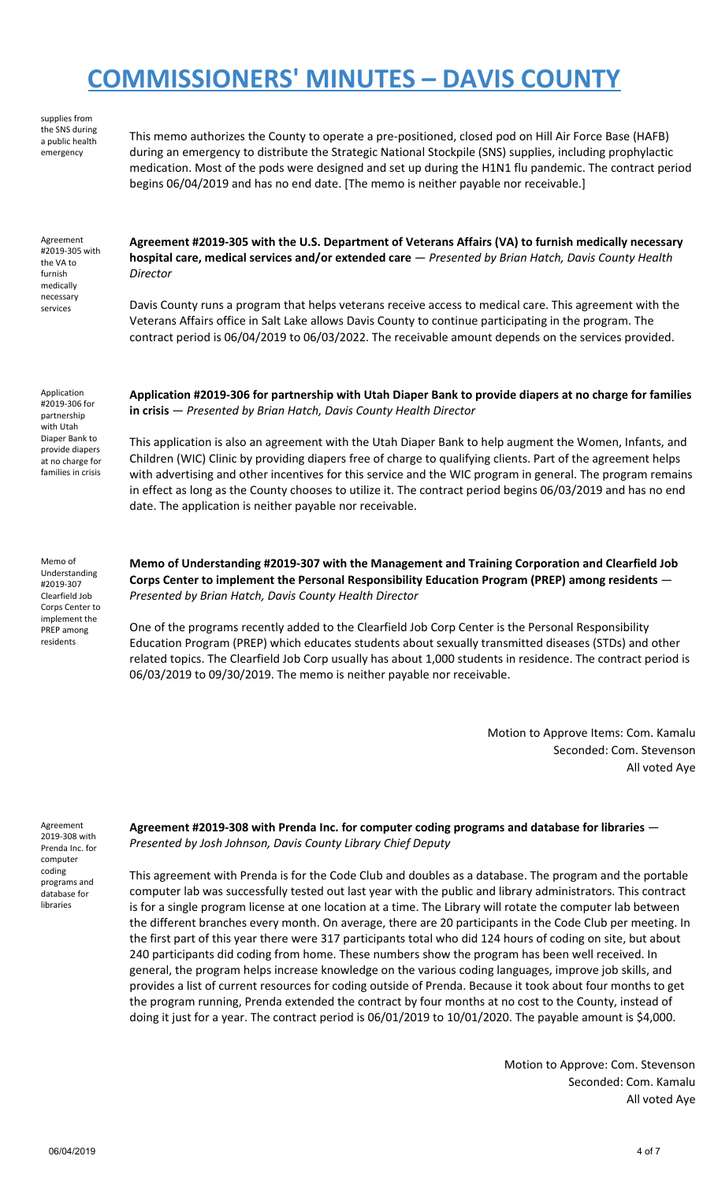supplies from the SNS during a public health emergency This memo authorizes the County to operate a pre-positioned, closed pod on Hill Air Force Base (HAFB) during an emergency to distribute the Strategic National Stockpile (SNS) supplies, including prophylactic medication. Most of the pods were designed and set up during the H1N1 flu pandemic. The contract period begins 06/04/2019 and has no end date. [The memo is neither payable nor receivable.] Agreement #2019-305 with the VA to furnish medically necessary services **Agreement #2019-305 with the U.S. Department of Veterans Affairs (VA) to furnish medically necessary hospital care, medical services and/or extended care** — *Presented by Brian Hatch, Davis County Health Director* Davis County runs a program that helps veterans receive access to medical care. This agreement with the Veterans Affairs office in Salt Lake allows Davis County to continue participating in the program. The contract period is 06/04/2019 to 06/03/2022. The receivable amount depends on the services provided. Application #2019-306 for partnership with Utah Diaper Bank to provide diapers at no charge for families in crisis **Application #2019-306 for partnership with Utah Diaper Bank to provide diapers at no charge for families in crisis** — *Presented by Brian Hatch, Davis County Health Director* This application is also an agreement with the Utah Diaper Bank to help augment the Women, Infants, and Children (WIC) Clinic by providing diapers free of charge to qualifying clients. Part of the agreement helps with advertising and other incentives for this service and the WIC program in general. The program remains in effect as long as the County chooses to utilize it. The contract period begins 06/03/2019 and has no end date. The application is neither payable nor receivable. Memo of

Understanding #2019-307 Clearfield Job Corps Center to implement the PREP among residents

**Memo of Understanding #2019-307 with the Management and Training Corporation and Clearfield Job Corps Center to implement the Personal Responsibility Education Program (PREP) among residents** — *Presented by Brian Hatch, Davis County Health Director*

One of the programs recently added to the Clearfield Job Corp Center is the Personal Responsibility Education Program (PREP) which educates students about sexually transmitted diseases (STDs) and other related topics. The Clearfield Job Corp usually has about 1,000 students in residence. The contract period is 06/03/2019 to 09/30/2019. The memo is neither payable nor receivable.

> Motion to Approve Items: Com. Kamalu Seconded: Com. Stevenson All voted Aye

Agreement 2019-308 with Prenda Inc. for computer coding programs and database for libraries

**Agreement #2019-308 with Prenda Inc. for computer coding programs and database for libraries** — *Presented by Josh Johnson, Davis County Library Chief Deputy*

This agreement with Prenda is for the Code Club and doubles as a database. The program and the portable computer lab was successfully tested out last year with the public and library administrators. This contract is for a single program license at one location at a time. The Library will rotate the computer lab between the different branches every month. On average, there are 20 participants in the Code Club per meeting. In the first part of this year there were 317 participants total who did 124 hours of coding on site, but about 240 participants did coding from home. These numbers show the program has been well received. In general, the program helps increase knowledge on the various coding languages, improve job skills, and provides a list of current resources for coding outside of Prenda. Because it took about four months to get the program running, Prenda extended the contract by four months at no cost to the County, instead of doing it just for a year. The contract period is 06/01/2019 to 10/01/2020. The payable amount is \$4,000.

> Motion to Approve: Com. Stevenson Seconded: Com. Kamalu All voted Aye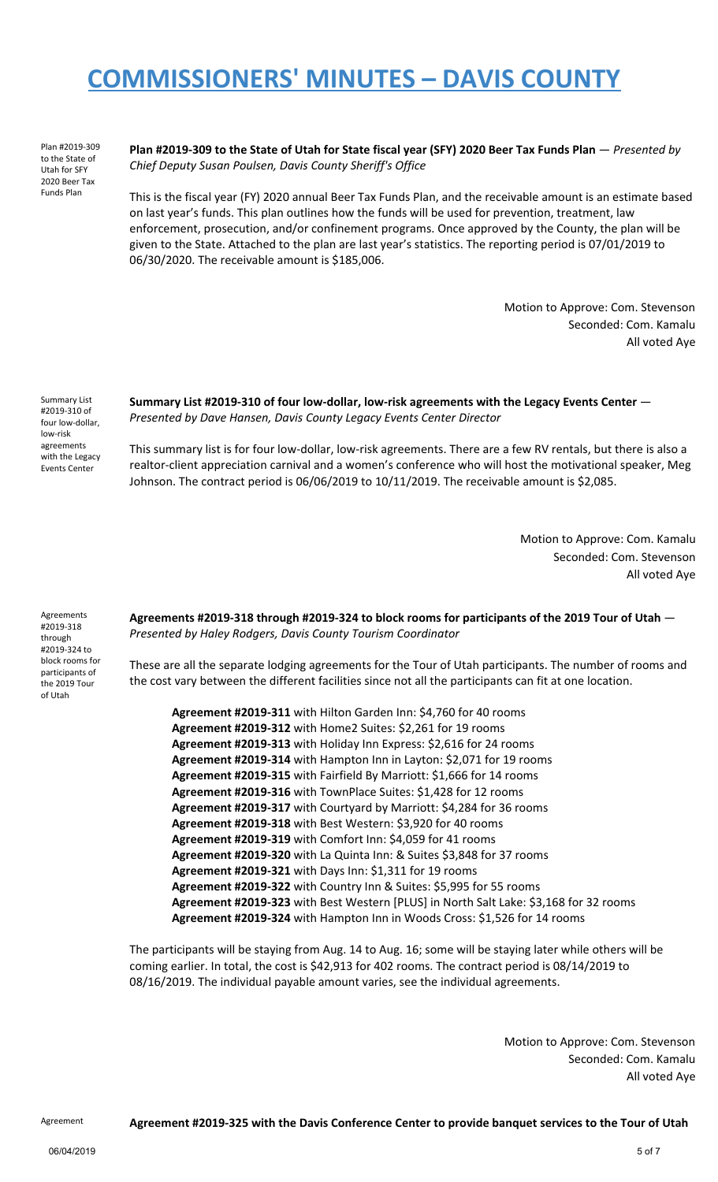Plan #2019-309 to the State of Utah for SFY 2020 Beer Tax Funds Plan

Plan #2019-309 to the State of Utah for State fiscal year (SFY) 2020 Beer Tax Funds Plan - Presented by *Chief Deputy Susan Poulsen, Davis County Sheriff's Office*

This is the fiscal year (FY) 2020 annual Beer Tax Funds Plan, and the receivable amount is an estimate based on last year's funds. This plan outlines how the funds will be used for prevention, treatment, law enforcement, prosecution, and/or confinement programs. Once approved by the County, the plan will be given to the State. Attached to the plan are last year's statistics. The reporting period is 07/01/2019 to 06/30/2020. The receivable amount is \$185,006.

> Motion to Approve: Com. Stevenson Seconded: Com. Kamalu All voted Aye

Summary List #2019-310 of four low-dollar, low-risk agreements with the Legacy Events Center

**Summary List #2019-310 of four low-dollar, low-risk agreements with the Legacy Events Center** — *Presented by Dave Hansen, Davis County Legacy Events Center Director*

This summary list is for four low-dollar, low-risk agreements. There are a few RV rentals, but there is also a realtor-client appreciation carnival and a women's conference who will host the motivational speaker, Meg Johnson. The contract period is 06/06/2019 to 10/11/2019. The receivable amount is \$2,085.

> Motion to Approve: Com. Kamalu Seconded: Com. Stevenson All voted Aye

Agreements #2019-318 through #2019-324 to block rooms for participants of the 2019 Tour of Utah

**Agreements #2019-318 through #2019-324 to block rooms for participants of the 2019 Tour of Utah** — *Presented by Haley Rodgers, Davis County Tourism Coordinator*

These are all the separate lodging agreements for the Tour of Utah participants. The number of rooms and the cost vary between the different facilities since not all the participants can fit at one location.

**Agreement #2019-311** with Hilton Garden Inn: \$4,760 for 40 rooms **Agreement #2019-312** with Home2 Suites: \$2,261 for 19 rooms **Agreement #2019-313** with Holiday Inn Express: \$2,616 for 24 rooms **Agreement #2019-314** with Hampton Inn in Layton: \$2,071 for 19 rooms **Agreement #2019-315** with Fairfield By Marriott: \$1,666 for 14 rooms **Agreement #2019-316** with TownPlace Suites: \$1,428 for 12 rooms **Agreement #2019-317** with Courtyard by Marriott: \$4,284 for 36 rooms **Agreement #2019-318** with Best Western: \$3,920 for 40 rooms **Agreement #2019-319** with Comfort Inn: \$4,059 for 41 rooms **Agreement #2019-320** with La Quinta Inn: & Suites \$3,848 for 37 rooms **Agreement #2019-321** with Days Inn: \$1,311 for 19 rooms **Agreement #2019-322** with Country Inn & Suites: \$5,995 for 55 rooms **Agreement #2019-323** with Best Western [PLUS] in North Salt Lake: \$3,168 for 32 rooms **Agreement #2019-324** with Hampton Inn in Woods Cross: \$1,526 for 14 rooms

The participants will be staying from Aug. 14 to Aug. 16; some will be staying later while others will be coming earlier. In total, the cost is \$42,913 for 402 rooms. The contract period is 08/14/2019 to 08/16/2019. The individual payable amount varies, see the individual agreements.

> Motion to Approve: Com. Stevenson Seconded: Com. Kamalu All voted Aye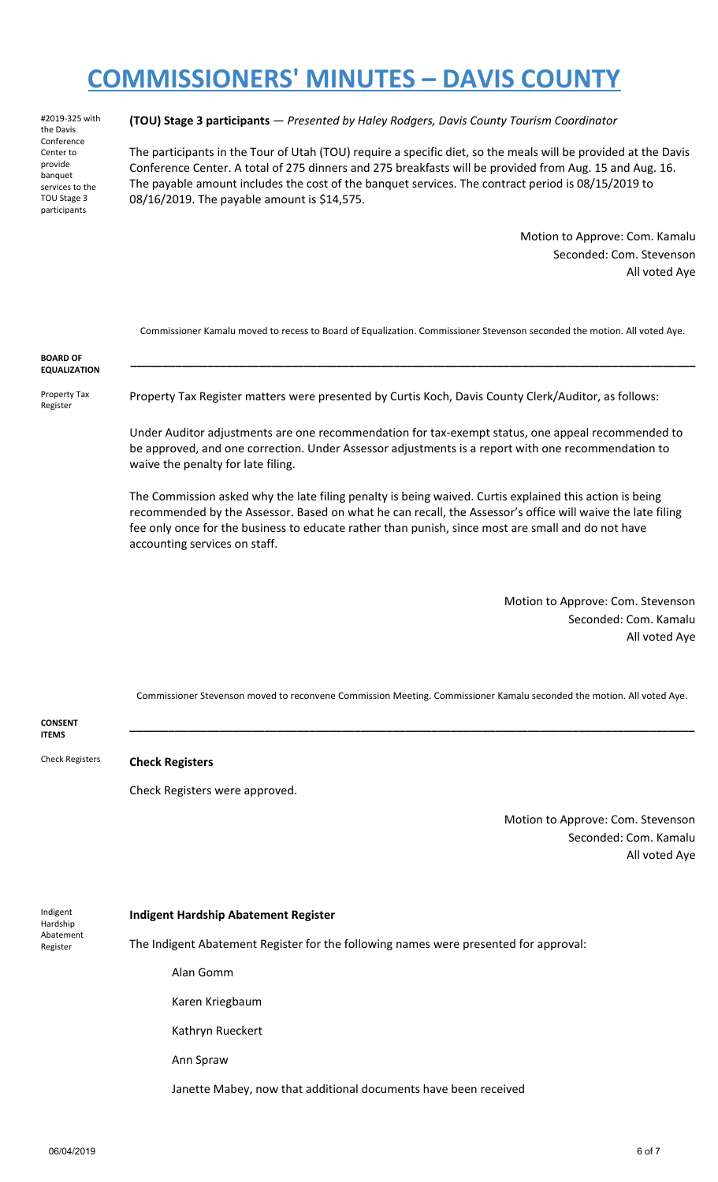#2019-325 with the Davis Conference Center to provide banquet services to the TOU Stage 3 participants

#### **(TOU) Stage 3 participants** — *Presented by Haley Rodgers, Davis County Tourism Coordinator*

The participants in the Tour of Utah (TOU) require a specific diet, so the meals will be provided at the Davis Conference Center. A total of 275 dinners and 275 breakfasts will be provided from Aug. 15 and Aug. 16. The payable amount includes the cost of the banquet services. The contract period is 08/15/2019 to 08/16/2019. The payable amount is \$14,575.

> Motion to Approve: Com. Kamalu Seconded: Com. Stevenson All voted Aye

Commissioner Kamalu moved to recess to Board of Equalization. Commissioner Stevenson seconded the motion. All voted Aye.

**\_\_\_\_\_\_\_\_\_\_\_\_\_\_\_\_\_\_\_\_\_\_\_\_\_\_\_\_\_\_\_\_\_\_\_\_\_\_\_\_\_\_\_\_\_\_\_\_\_\_\_\_\_\_\_\_\_\_\_\_\_\_\_\_\_\_\_\_\_\_\_\_\_\_\_\_\_\_\_\_\_\_\_\_\_\_\_\_**

**BOARD OF EQUALIZATION**

Property Tax Register

Property Tax Register matters were presented by Curtis Koch, Davis County Clerk/Auditor, as follows:

Under Auditor adjustments are one recommendation for tax-exempt status, one appeal recommended to be approved, and one correction. Under Assessor adjustments is a report with one recommendation to waive the penalty for late filing.

The Commission asked why the late filing penalty is being waived. Curtis explained this action is being recommended by the Assessor. Based on what he can recall, the Assessor's office will waive the late filing fee only once for the business to educate rather than punish, since most are small and do not have accounting services on staff.

> Motion to Approve: Com. Stevenson Seconded: Com. Kamalu All voted Aye

Commissioner Stevenson moved to reconvene Commission Meeting. Commissioner Kamalu seconded the motion. All voted Aye.

**\_\_\_\_\_\_\_\_\_\_\_\_\_\_\_\_\_\_\_\_\_\_\_\_\_\_\_\_\_\_\_\_\_\_\_\_\_\_\_\_\_\_\_\_\_\_\_\_\_\_\_\_\_\_\_\_\_\_\_\_\_\_\_\_\_\_\_\_\_\_\_\_\_\_\_\_\_\_\_\_\_\_\_\_\_\_\_\_**

**CONSENT ITEMS**

Check Registers **Check Registers**

Check Registers were approved.

Motion to Approve: Com. Stevenson Seconded: Com. Kamalu All voted Aye

Indigent **Hardship** Abatement Register

#### **Indigent Hardship Abatement Register**

The Indigent Abatement Register for the following names were presented for approval:

Alan Gomm

Karen Kriegbaum

Kathryn Rueckert

Ann Spraw

Janette Mabey, now that additional documents have been received